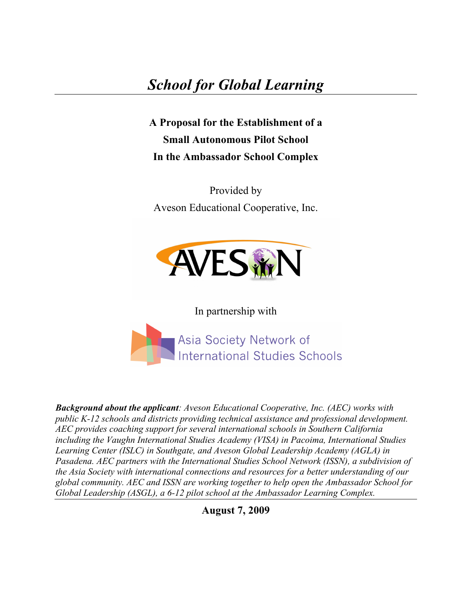**A Proposal for the Establishment of a Small Autonomous Pilot School In the Ambassador School Complex**

Provided by Aveson Educational Cooperative, Inc.



In partnership with



*Background about the applicant: Aveson Educational Cooperative, Inc. (AEC) works with public K-12 schools and districts providing technical assistance and professional development. AEC provides coaching support for several international schools in Southern California including the Vaughn International Studies Academy (VISA) in Pacoima, International Studies Learning Center (ISLC) in Southgate, and Aveson Global Leadership Academy (AGLA) in Pasadena. AEC partners with the International Studies School Network (ISSN), a subdivision of the Asia Society with international connections and resources for a better understanding of our global community. AEC and ISSN are working together to help open the Ambassador School for Global Leadership (ASGL), a 6-12 pilot school at the Ambassador Learning Complex.*

**August 7, 2009**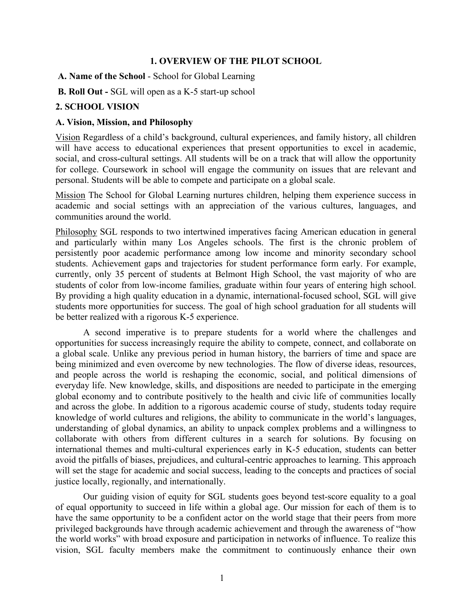## **1. OVERVIEW OF THE PILOT SCHOOL**

 **A. Name of the School** - School for Global Learning

 **B. Roll Out -** SGL will open as a K-5 start-up school

## **2. SCHOOL VISION**

## **A. Vision, Mission, and Philosophy**

Vision Regardless of a child's background, cultural experiences, and family history, all children will have access to educational experiences that present opportunities to excel in academic, social, and cross-cultural settings. All students will be on a track that will allow the opportunity for college. Coursework in school will engage the community on issues that are relevant and personal. Students will be able to compete and participate on a global scale.

Mission The School for Global Learning nurtures children, helping them experience success in academic and social settings with an appreciation of the various cultures, languages, and communities around the world.

Philosophy SGL responds to two intertwined imperatives facing American education in general and particularly within many Los Angeles schools. The first is the chronic problem of persistently poor academic performance among low income and minority secondary school students. Achievement gaps and trajectories for student performance form early. For example, currently, only 35 percent of students at Belmont High School, the vast majority of who are students of color from low-income families, graduate within four years of entering high school. By providing a high quality education in a dynamic, international-focused school, SGL will give students more opportunities for success. The goal of high school graduation for all students will be better realized with a rigorous K-5 experience.

A second imperative is to prepare students for a world where the challenges and opportunities for success increasingly require the ability to compete, connect, and collaborate on a global scale. Unlike any previous period in human history, the barriers of time and space are being minimized and even overcome by new technologies. The flow of diverse ideas, resources, and people across the world is reshaping the economic, social, and political dimensions of everyday life. New knowledge, skills, and dispositions are needed to participate in the emerging global economy and to contribute positively to the health and civic life of communities locally and across the globe. In addition to a rigorous academic course of study, students today require knowledge of world cultures and religions, the ability to communicate in the world's languages, understanding of global dynamics, an ability to unpack complex problems and a willingness to collaborate with others from different cultures in a search for solutions. By focusing on international themes and multi-cultural experiences early in K-5 education, students can better avoid the pitfalls of biases, prejudices, and cultural-centric approaches to learning. This approach will set the stage for academic and social success, leading to the concepts and practices of social justice locally, regionally, and internationally.

Our guiding vision of equity for SGL students goes beyond test-score equality to a goal of equal opportunity to succeed in life within a global age. Our mission for each of them is to have the same opportunity to be a confident actor on the world stage that their peers from more privileged backgrounds have through academic achievement and through the awareness of "how the world works" with broad exposure and participation in networks of influence. To realize this vision, SGL faculty members make the commitment to continuously enhance their own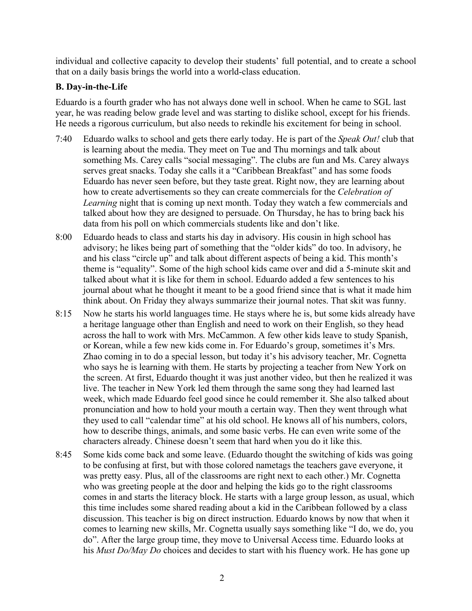individual and collective capacity to develop their students' full potential, and to create a school that on a daily basis brings the world into a world-class education.

# **B. Day-in-the-Life**

Eduardo is a fourth grader who has not always done well in school. When he came to SGL last year, he was reading below grade level and was starting to dislike school, except for his friends. He needs a rigorous curriculum, but also needs to rekindle his excitement for being in school.

- 7:40 Eduardo walks to school and gets there early today. He is part of the *Speak Out!* club that is learning about the media. They meet on Tue and Thu mornings and talk about something Ms. Carey calls "social messaging". The clubs are fun and Ms. Carey always serves great snacks. Today she calls it a "Caribbean Breakfast" and has some foods Eduardo has never seen before, but they taste great. Right now, they are learning about how to create advertisements so they can create commercials for the *Celebration of Learning* night that is coming up next month. Today they watch a few commercials and talked about how they are designed to persuade. On Thursday, he has to bring back his data from his poll on which commercials students like and don't like.
- 8:00 Eduardo heads to class and starts his day in advisory. His cousin in high school has advisory; he likes being part of something that the "older kids" do too. In advisory, he and his class "circle up" and talk about different aspects of being a kid. This month's theme is "equality". Some of the high school kids came over and did a 5-minute skit and talked about what it is like for them in school. Eduardo added a few sentences to his journal about what he thought it meant to be a good friend since that is what it made him think about. On Friday they always summarize their journal notes. That skit was funny.
- 8:15 Now he starts his world languages time. He stays where he is, but some kids already have a heritage language other than English and need to work on their English, so they head across the hall to work with Mrs. McCammon. A few other kids leave to study Spanish, or Korean, while a few new kids come in. For Eduardo's group, sometimes it's Mrs. Zhao coming in to do a special lesson, but today it's his advisory teacher, Mr. Cognetta who says he is learning with them. He starts by projecting a teacher from New York on the screen. At first, Eduardo thought it was just another video, but then he realized it was live. The teacher in New York led them through the same song they had learned last week, which made Eduardo feel good since he could remember it. She also talked about pronunciation and how to hold your mouth a certain way. Then they went through what they used to call "calendar time" at his old school. He knows all of his numbers, colors, how to describe things, animals, and some basic verbs. He can even write some of the characters already. Chinese doesn't seem that hard when you do it like this.
- 8:45 Some kids come back and some leave. (Eduardo thought the switching of kids was going to be confusing at first, but with those colored nametags the teachers gave everyone, it was pretty easy. Plus, all of the classrooms are right next to each other.) Mr. Cognetta who was greeting people at the door and helping the kids go to the right classrooms comes in and starts the literacy block. He starts with a large group lesson, as usual, which this time includes some shared reading about a kid in the Caribbean followed by a class discussion. This teacher is big on direct instruction. Eduardo knows by now that when it comes to learning new skills, Mr. Cognetta usually says something like "I do, we do, you do". After the large group time, they move to Universal Access time. Eduardo looks at his *Must Do/May Do* choices and decides to start with his fluency work. He has gone up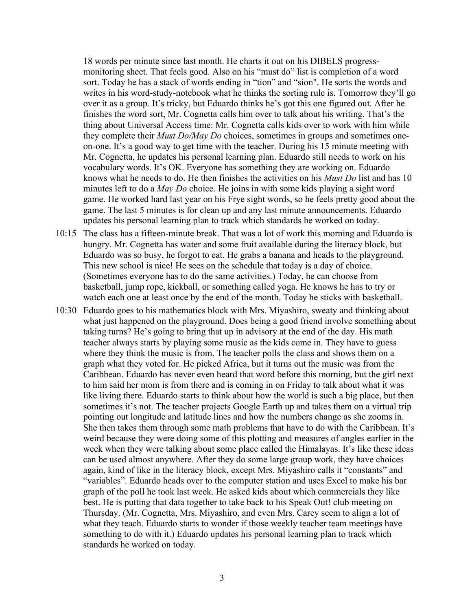18 words per minute since last month. He charts it out on his DIBELS progressmonitoring sheet. That feels good. Also on his "must do" list is completion of a word sort. Today he has a stack of words ending in "tion" and "sion". He sorts the words and writes in his word-study-notebook what he thinks the sorting rule is. Tomorrow they'll go over it as a group. It's tricky, but Eduardo thinks he's got this one figured out. After he finishes the word sort, Mr. Cognetta calls him over to talk about his writing. That's the thing about Universal Access time: Mr. Cognetta calls kids over to work with him while they complete their *Must Do/May Do* choices, sometimes in groups and sometimes oneon-one. It's a good way to get time with the teacher. During his 15 minute meeting with Mr. Cognetta, he updates his personal learning plan. Eduardo still needs to work on his vocabulary words. It's OK. Everyone has something they are working on. Eduardo knows what he needs to do. He then finishes the activities on his *Must Do* list and has 10 minutes left to do a *May Do* choice. He joins in with some kids playing a sight word game. He worked hard last year on his Frye sight words, so he feels pretty good about the game. The last 5 minutes is for clean up and any last minute announcements. Eduardo updates his personal learning plan to track which standards he worked on today.

- 10:15 The class has a fifteen-minute break. That was a lot of work this morning and Eduardo is hungry. Mr. Cognetta has water and some fruit available during the literacy block, but Eduardo was so busy, he forgot to eat. He grabs a banana and heads to the playground. This new school is nice! He sees on the schedule that today is a day of choice. (Sometimes everyone has to do the same activities.) Today, he can choose from basketball, jump rope, kickball, or something called yoga. He knows he has to try or watch each one at least once by the end of the month. Today he sticks with basketball.
- 10:30 Eduardo goes to his mathematics block with Mrs. Miyashiro, sweaty and thinking about what just happened on the playground. Does being a good friend involve something about taking turns? He's going to bring that up in advisory at the end of the day. His math teacher always starts by playing some music as the kids come in. They have to guess where they think the music is from. The teacher polls the class and shows them on a graph what they voted for. He picked Africa, but it turns out the music was from the Caribbean. Eduardo has never even heard that word before this morning, but the girl next to him said her mom is from there and is coming in on Friday to talk about what it was like living there. Eduardo starts to think about how the world is such a big place, but then sometimes it's not. The teacher projects Google Earth up and takes them on a virtual trip pointing out longitude and latitude lines and how the numbers change as she zooms in. She then takes them through some math problems that have to do with the Caribbean. It's weird because they were doing some of this plotting and measures of angles earlier in the week when they were talking about some place called the Himalayas. It's like these ideas can be used almost anywhere. After they do some large group work, they have choices again, kind of like in the literacy block, except Mrs. Miyashiro calls it "constants" and "variables". Eduardo heads over to the computer station and uses Excel to make his bar graph of the poll he took last week. He asked kids about which commercials they like best. He is putting that data together to take back to his Speak Out! club meeting on Thursday. (Mr. Cognetta, Mrs. Miyashiro, and even Mrs. Carey seem to align a lot of what they teach. Eduardo starts to wonder if those weekly teacher team meetings have something to do with it.) Eduardo updates his personal learning plan to track which standards he worked on today.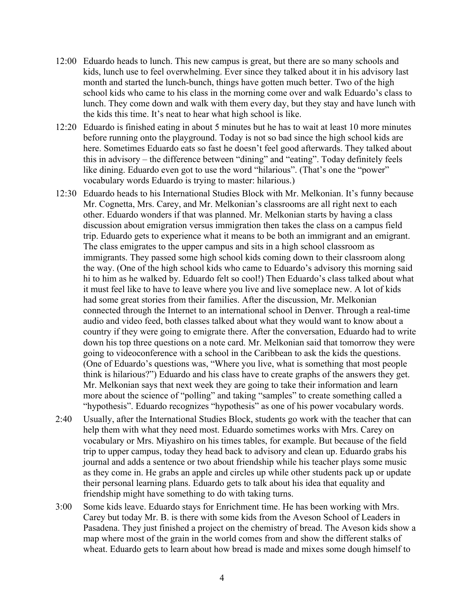- 12:00 Eduardo heads to lunch. This new campus is great, but there are so many schools and kids, lunch use to feel overwhelming. Ever since they talked about it in his advisory last month and started the lunch-bunch, things have gotten much better. Two of the high school kids who came to his class in the morning come over and walk Eduardo's class to lunch. They come down and walk with them every day, but they stay and have lunch with the kids this time. It's neat to hear what high school is like.
- 12:20 Eduardo is finished eating in about 5 minutes but he has to wait at least 10 more minutes before running onto the playground. Today is not so bad since the high school kids are here. Sometimes Eduardo eats so fast he doesn't feel good afterwards. They talked about this in advisory – the difference between "dining" and "eating". Today definitely feels like dining. Eduardo even got to use the word "hilarious". (That's one the "power" vocabulary words Eduardo is trying to master: hilarious.)
- 12:30 Eduardo heads to his International Studies Block with Mr. Melkonian. It's funny because Mr. Cognetta, Mrs. Carey, and Mr. Melkonian's classrooms are all right next to each other. Eduardo wonders if that was planned. Mr. Melkonian starts by having a class discussion about emigration versus immigration then takes the class on a campus field trip. Eduardo gets to experience what it means to be both an immigrant and an emigrant. The class emigrates to the upper campus and sits in a high school classroom as immigrants. They passed some high school kids coming down to their classroom along the way. (One of the high school kids who came to Eduardo's advisory this morning said hi to him as he walked by. Eduardo felt so cool!) Then Eduardo's class talked about what it must feel like to have to leave where you live and live someplace new. A lot of kids had some great stories from their families. After the discussion, Mr. Melkonian connected through the Internet to an international school in Denver. Through a real-time audio and video feed, both classes talked about what they would want to know about a country if they were going to emigrate there. After the conversation, Eduardo had to write down his top three questions on a note card. Mr. Melkonian said that tomorrow they were going to videoconference with a school in the Caribbean to ask the kids the questions. (One of Eduardo's questions was, "Where you live, what is something that most people think is hilarious?") Eduardo and his class have to create graphs of the answers they get. Mr. Melkonian says that next week they are going to take their information and learn more about the science of "polling" and taking "samples" to create something called a "hypothesis". Eduardo recognizes "hypothesis" as one of his power vocabulary words.
- 2:40 Usually, after the International Studies Block, students go work with the teacher that can help them with what they need most. Eduardo sometimes works with Mrs. Carey on vocabulary or Mrs. Miyashiro on his times tables, for example. But because of the field trip to upper campus, today they head back to advisory and clean up. Eduardo grabs his journal and adds a sentence or two about friendship while his teacher plays some music as they come in. He grabs an apple and circles up while other students pack up or update their personal learning plans. Eduardo gets to talk about his idea that equality and friendship might have something to do with taking turns.
- 3:00 Some kids leave. Eduardo stays for Enrichment time. He has been working with Mrs. Carey but today Mr. B. is there with some kids from the Aveson School of Leaders in Pasadena. They just finished a project on the chemistry of bread. The Aveson kids show a map where most of the grain in the world comes from and show the different stalks of wheat. Eduardo gets to learn about how bread is made and mixes some dough himself to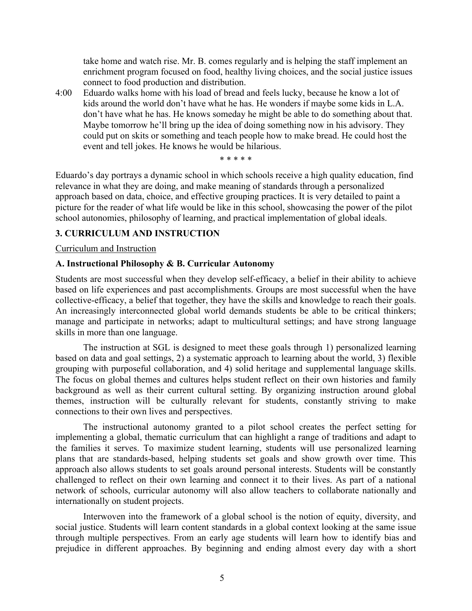take home and watch rise. Mr. B. comes regularly and is helping the staff implement an enrichment program focused on food, healthy living choices, and the social justice issues connect to food production and distribution.

4:00 Eduardo walks home with his load of bread and feels lucky, because he know a lot of kids around the world don't have what he has. He wonders if maybe some kids in L.A. don't have what he has. He knows someday he might be able to do something about that. Maybe tomorrow he'll bring up the idea of doing something now in his advisory. They could put on skits or something and teach people how to make bread. He could host the event and tell jokes. He knows he would be hilarious.

\* \* \* \* \*

Eduardo's day portrays a dynamic school in which schools receive a high quality education, find relevance in what they are doing, and make meaning of standards through a personalized approach based on data, choice, and effective grouping practices. It is very detailed to paint a picture for the reader of what life would be like in this school, showcasing the power of the pilot school autonomies, philosophy of learning, and practical implementation of global ideals.

# **3. CURRICULUM AND INSTRUCTION**

### Curriculum and Instruction

## **A. Instructional Philosophy & B. Curricular Autonomy**

Students are most successful when they develop self-efficacy, a belief in their ability to achieve based on life experiences and past accomplishments. Groups are most successful when the have collective-efficacy, a belief that together, they have the skills and knowledge to reach their goals. An increasingly interconnected global world demands students be able to be critical thinkers; manage and participate in networks; adapt to multicultural settings; and have strong language skills in more than one language.

The instruction at SGL is designed to meet these goals through 1) personalized learning based on data and goal settings, 2) a systematic approach to learning about the world, 3) flexible grouping with purposeful collaboration, and 4) solid heritage and supplemental language skills. The focus on global themes and cultures helps student reflect on their own histories and family background as well as their current cultural setting. By organizing instruction around global themes, instruction will be culturally relevant for students, constantly striving to make connections to their own lives and perspectives.

The instructional autonomy granted to a pilot school creates the perfect setting for implementing a global, thematic curriculum that can highlight a range of traditions and adapt to the families it serves. To maximize student learning, students will use personalized learning plans that are standards-based, helping students set goals and show growth over time. This approach also allows students to set goals around personal interests. Students will be constantly challenged to reflect on their own learning and connect it to their lives. As part of a national network of schools, curricular autonomy will also allow teachers to collaborate nationally and internationally on student projects.

Interwoven into the framework of a global school is the notion of equity, diversity, and social justice. Students will learn content standards in a global context looking at the same issue through multiple perspectives. From an early age students will learn how to identify bias and prejudice in different approaches. By beginning and ending almost every day with a short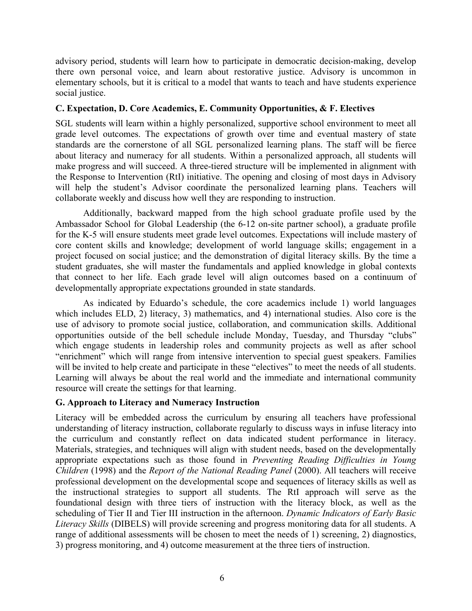advisory period, students will learn how to participate in democratic decision-making, develop there own personal voice, and learn about restorative justice. Advisory is uncommon in elementary schools, but it is critical to a model that wants to teach and have students experience social justice.

## **C. Expectation, D. Core Academics, E. Community Opportunities, & F. Electives**

SGL students will learn within a highly personalized, supportive school environment to meet all grade level outcomes. The expectations of growth over time and eventual mastery of state standards are the cornerstone of all SGL personalized learning plans. The staff will be fierce about literacy and numeracy for all students. Within a personalized approach, all students will make progress and will succeed. A three-tiered structure will be implemented in alignment with the Response to Intervention (RtI) initiative. The opening and closing of most days in Advisory will help the student's Advisor coordinate the personalized learning plans. Teachers will collaborate weekly and discuss how well they are responding to instruction.

Additionally, backward mapped from the high school graduate profile used by the Ambassador School for Global Leadership (the 6-12 on-site partner school), a graduate profile for the K-5 will ensure students meet grade level outcomes. Expectations will include mastery of core content skills and knowledge; development of world language skills; engagement in a project focused on social justice; and the demonstration of digital literacy skills. By the time a student graduates, she will master the fundamentals and applied knowledge in global contexts that connect to her life. Each grade level will align outcomes based on a continuum of developmentally appropriate expectations grounded in state standards.

As indicated by Eduardo's schedule, the core academics include 1) world languages which includes ELD, 2) literacy, 3) mathematics, and 4) international studies. Also core is the use of advisory to promote social justice, collaboration, and communication skills. Additional opportunities outside of the bell schedule include Monday, Tuesday, and Thursday "clubs" which engage students in leadership roles and community projects as well as after school "enrichment" which will range from intensive intervention to special guest speakers. Families will be invited to help create and participate in these "electives" to meet the needs of all students. Learning will always be about the real world and the immediate and international community resource will create the settings for that learning.

## **G. Approach to Literacy and Numeracy Instruction**

Literacy will be embedded across the curriculum by ensuring all teachers have professional understanding of literacy instruction, collaborate regularly to discuss ways in infuse literacy into the curriculum and constantly reflect on data indicated student performance in literacy. Materials, strategies, and techniques will align with student needs, based on the developmentally appropriate expectations such as those found in *Preventing Reading Difficulties in Young Children* (1998) and the *Report of the National Reading Panel* (2000). All teachers will receive professional development on the developmental scope and sequences of literacy skills as well as the instructional strategies to support all students. The RtI approach will serve as the foundational design with three tiers of instruction with the literacy block, as well as the scheduling of Tier II and Tier III instruction in the afternoon. *Dynamic Indicators of Early Basic Literacy Skills* (DIBELS) will provide screening and progress monitoring data for all students. A range of additional assessments will be chosen to meet the needs of 1) screening, 2) diagnostics, 3) progress monitoring, and 4) outcome measurement at the three tiers of instruction.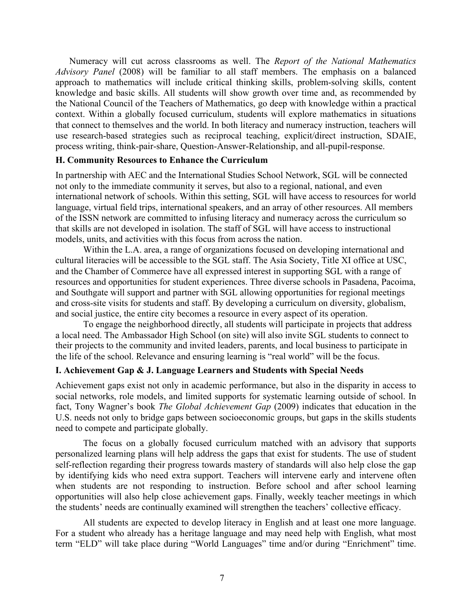Numeracy will cut across classrooms as well. The *Report of the National Mathematics Advisory Panel* (2008) will be familiar to all staff members. The emphasis on a balanced approach to mathematics will include critical thinking skills, problem-solving skills, content knowledge and basic skills. All students will show growth over time and, as recommended by the National Council of the Teachers of Mathematics, go deep with knowledge within a practical context. Within a globally focused curriculum, students will explore mathematics in situations that connect to themselves and the world. In both literacy and numeracy instruction, teachers will use research-based strategies such as reciprocal teaching, explicit/direct instruction, SDAIE, process writing, think-pair-share, Question-Answer-Relationship, and all-pupil-response.

### **H. Community Resources to Enhance the Curriculum**

In partnership with AEC and the International Studies School Network, SGL will be connected not only to the immediate community it serves, but also to a regional, national, and even international network of schools. Within this setting, SGL will have access to resources for world language, virtual field trips, international speakers, and an array of other resources. All members of the ISSN network are committed to infusing literacy and numeracy across the curriculum so that skills are not developed in isolation. The staff of SGL will have access to instructional models, units, and activities with this focus from across the nation.

Within the L.A. area, a range of organizations focused on developing international and cultural literacies will be accessible to the SGL staff. The Asia Society, Title XI office at USC, and the Chamber of Commerce have all expressed interest in supporting SGL with a range of resources and opportunities for student experiences. Three diverse schools in Pasadena, Pacoima, and Southgate will support and partner with SGL allowing opportunities for regional meetings and cross-site visits for students and staff. By developing a curriculum on diversity, globalism, and social justice, the entire city becomes a resource in every aspect of its operation.

To engage the neighborhood directly, all students will participate in projects that address a local need. The Ambassador High School (on site) will also invite SGL students to connect to their projects to the community and invited leaders, parents, and local business to participate in the life of the school. Relevance and ensuring learning is "real world" will be the focus.

### **I. Achievement Gap & J. Language Learners and Students with Special Needs**

Achievement gaps exist not only in academic performance, but also in the disparity in access to social networks, role models, and limited supports for systematic learning outside of school. In fact, Tony Wagner's book *The Global Achievement Gap* (2009) indicates that education in the U.S. needs not only to bridge gaps between socioeconomic groups, but gaps in the skills students need to compete and participate globally.

The focus on a globally focused curriculum matched with an advisory that supports personalized learning plans will help address the gaps that exist for students. The use of student self-reflection regarding their progress towards mastery of standards will also help close the gap by identifying kids who need extra support. Teachers will intervene early and intervene often when students are not responding to instruction. Before school and after school learning opportunities will also help close achievement gaps. Finally, weekly teacher meetings in which the students' needs are continually examined will strengthen the teachers' collective efficacy.

All students are expected to develop literacy in English and at least one more language. For a student who already has a heritage language and may need help with English, what most term "ELD" will take place during "World Languages" time and/or during "Enrichment" time.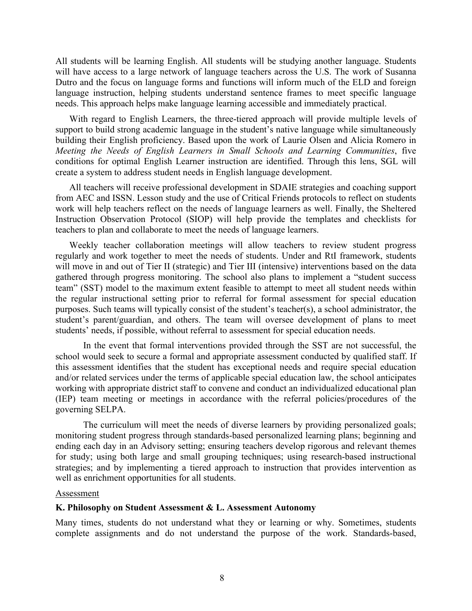All students will be learning English. All students will be studying another language. Students will have access to a large network of language teachers across the U.S. The work of Susanna Dutro and the focus on language forms and functions will inform much of the ELD and foreign language instruction, helping students understand sentence frames to meet specific language needs. This approach helps make language learning accessible and immediately practical.

With regard to English Learners, the three-tiered approach will provide multiple levels of support to build strong academic language in the student's native language while simultaneously building their English proficiency. Based upon the work of Laurie Olsen and Alicia Romero in *Meeting the Needs of English Learners in Small Schools and Learning Communities*, five conditions for optimal English Learner instruction are identified. Through this lens, SGL will create a system to address student needs in English language development.

All teachers will receive professional development in SDAIE strategies and coaching support from AEC and ISSN. Lesson study and the use of Critical Friends protocols to reflect on students work will help teachers reflect on the needs of language learners as well. Finally, the Sheltered Instruction Observation Protocol (SIOP) will help provide the templates and checklists for teachers to plan and collaborate to meet the needs of language learners.

Weekly teacher collaboration meetings will allow teachers to review student progress regularly and work together to meet the needs of students. Under and RtI framework, students will move in and out of Tier II (strategic) and Tier III (intensive) interventions based on the data gathered through progress monitoring. The school also plans to implement a "student success team" (SST) model to the maximum extent feasible to attempt to meet all student needs within the regular instructional setting prior to referral for formal assessment for special education purposes. Such teams will typically consist of the student's teacher(s), a school administrator, the student's parent/guardian, and others. The team will oversee development of plans to meet students' needs, if possible, without referral to assessment for special education needs.

In the event that formal interventions provided through the SST are not successful, the school would seek to secure a formal and appropriate assessment conducted by qualified staff. If this assessment identifies that the student has exceptional needs and require special education and/or related services under the terms of applicable special education law, the school anticipates working with appropriate district staff to convene and conduct an individualized educational plan (IEP) team meeting or meetings in accordance with the referral policies/procedures of the governing SELPA.

The curriculum will meet the needs of diverse learners by providing personalized goals; monitoring student progress through standards-based personalized learning plans; beginning and ending each day in an Advisory setting; ensuring teachers develop rigorous and relevant themes for study; using both large and small grouping techniques; using research-based instructional strategies; and by implementing a tiered approach to instruction that provides intervention as well as enrichment opportunities for all students.

#### Assessment

### **K. Philosophy on Student Assessment & L. Assessment Autonomy**

Many times, students do not understand what they or learning or why. Sometimes, students complete assignments and do not understand the purpose of the work. Standards-based,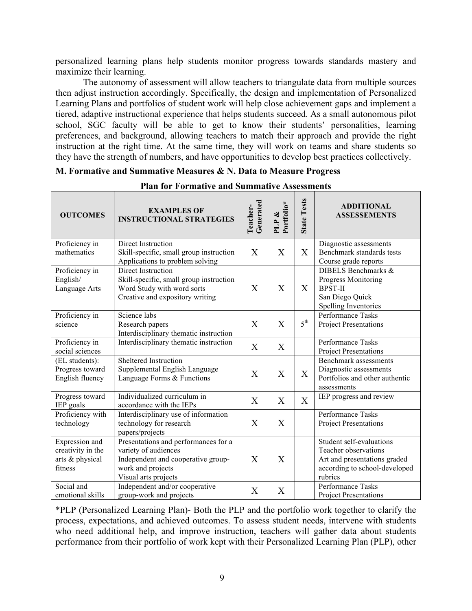personalized learning plans help students monitor progress towards standards mastery and maximize their learning.

The autonomy of assessment will allow teachers to triangulate data from multiple sources then adjust instruction accordingly. Specifically, the design and implementation of Personalized Learning Plans and portfolios of student work will help close achievement gaps and implement a tiered, adaptive instructional experience that helps students succeed. As a small autonomous pilot school, SGC faculty will be able to get to know their students' personalities, learning preferences, and background, allowing teachers to match their approach and provide the right instruction at the right time. At the same time, they will work on teams and share students so they have the strength of numbers, and have opportunities to develop best practices collectively.

## **M. Formative and Summative Measures & N. Data to Measure Progress**

| <b>OUTCOMES</b>                                                   | <b>EXAMPLES OF</b><br><b>INSTRUCTIONAL STRATEGIES</b>                                                                                           | Generated<br>Teacher- | Portfolio*<br>PLP & | <b>State Tests</b> | <b>ADDITIONAL</b><br><b>ASSESSEMENTS</b>                                                                                     |
|-------------------------------------------------------------------|-------------------------------------------------------------------------------------------------------------------------------------------------|-----------------------|---------------------|--------------------|------------------------------------------------------------------------------------------------------------------------------|
| Proficiency in<br>mathematics                                     | Direct Instruction<br>Skill-specific, small group instruction<br>Applications to problem solving                                                | X                     | X                   | X                  | Diagnostic assessments<br>Benchmark standards tests<br>Course grade reports                                                  |
| Proficiency in<br>English/<br>Language Arts                       | Direct Instruction<br>Skill-specific, small group instruction<br>Word Study with word sorts<br>Creative and expository writing                  | $\mathbf{X}$          | $\mathbf{X}$        | X                  | DIBELS Benchmarks &<br>Progress Monitoring<br><b>BPST-II</b><br>San Diego Quick<br>Spelling Inventories                      |
| Proficiency in<br>science                                         | Science labs<br>Research papers<br>Interdisciplinary thematic instruction                                                                       | X                     | X                   | $5^{\text{th}}$    | Performance Tasks<br><b>Project Presentations</b>                                                                            |
| Proficiency in<br>social sciences                                 | Interdisciplinary thematic instruction                                                                                                          | X                     | X                   |                    | Performance Tasks<br><b>Project Presentations</b>                                                                            |
| (EL students):<br>Progress toward<br>English fluency              | Sheltered Instruction<br>Supplemental English Language<br>Language Forms & Functions                                                            | X                     | X                   | $\mathbf X$        | <b>Benchmark</b> assessments<br>Diagnostic assessments<br>Portfolios and other authentic<br>assessments                      |
| Progress toward<br>IEP goals                                      | Individualized curriculum in<br>accordance with the IEPs                                                                                        | X                     | X                   | $\mathbf{X}$       | IEP progress and review                                                                                                      |
| Proficiency with<br>technology                                    | Interdisciplinary use of information<br>technology for research<br>papers/projects                                                              | X                     | X                   |                    | Performance Tasks<br><b>Project Presentations</b>                                                                            |
| Expression and<br>creativity in the<br>arts & physical<br>fitness | Presentations and performances for a<br>variety of audiences<br>Independent and cooperative group-<br>work and projects<br>Visual arts projects | $\overline{X}$        | X                   |                    | Student self-evaluations<br>Teacher observations<br>Art and presentations graded<br>according to school-developed<br>rubrics |
| Social and<br>emotional skills                                    | Independent and/or cooperative<br>group-work and projects                                                                                       | X                     | X                   |                    | <b>Performance Tasks</b><br><b>Project Presentations</b>                                                                     |

## **Plan for Formative and Summative Assessments**

\*PLP (Personalized Learning Plan)- Both the PLP and the portfolio work together to clarify the process, expectations, and achieved outcomes. To assess student needs, intervene with students who need additional help, and improve instruction, teachers will gather data about students performance from their portfolio of work kept with their Personalized Learning Plan (PLP), other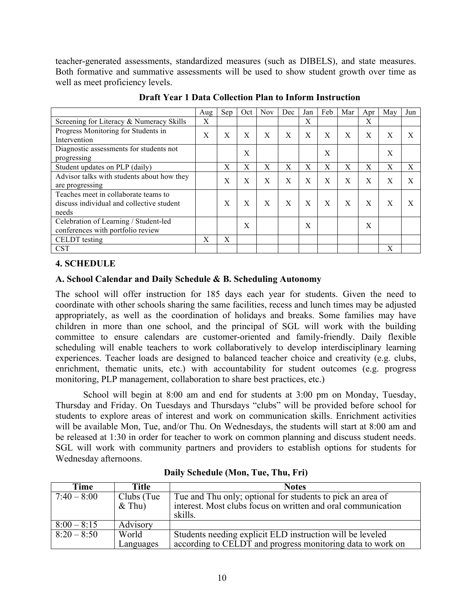teacher-generated assessments, standardized measures (such as DIBELS), and state measures. Both formative and summative assessments will be used to show student growth over time as well as meet proficiency levels.

|                                            | Aug         | Sep          | Oct          | <b>Nov</b> | Dec | Jan | Feb          | Mar | Apr | May          | Jun          |
|--------------------------------------------|-------------|--------------|--------------|------------|-----|-----|--------------|-----|-----|--------------|--------------|
| Screening for Literacy & Numeracy Skills   | X           |              |              |            |     | X   |              |     | X   |              |              |
| Progress Monitoring for Students in        | $\mathbf x$ | $\mathbf{X}$ | $\mathbf{x}$ | X          | X   | X   | $\mathbf{x}$ | X   | X   | $\mathbf{x}$ | $\mathbf{X}$ |
| Intervention                               |             |              |              |            |     |     |              |     |     |              |              |
| Diagnostic assessments for students not    |             |              | X            |            |     |     | X            |     |     | X            |              |
| progressing                                |             |              |              |            |     |     |              |     |     |              |              |
| Student updates on PLP (daily)             |             | X            | X            | X          | X   | X   | X            | X   | X   | X            | X            |
| Advisor talks with students about how they |             | $\mathbf{X}$ | X            | X          | X   | X   | X            | X   | X   | X            | X            |
| are progressing                            |             |              |              |            |     |     |              |     |     |              |              |
| Teaches meet in collaborate teams to       |             |              |              |            |     |     |              |     |     |              |              |
| discuss individual and collective student  |             | $\mathbf{X}$ | X            | X          | X   | X   | X            | X   | X   | X            | X            |
| needs                                      |             |              |              |            |     |     |              |     |     |              |              |
| Celebration of Learning / Student-led      |             |              | X            |            |     | X   |              |     | X   |              |              |
| conferences with portfolio review          |             |              |              |            |     |     |              |     |     |              |              |
| <b>CELDT</b> testing                       | X           | $\mathbf{X}$ |              |            |     |     |              |     |     |              |              |
| <b>CST</b>                                 |             |              |              |            |     |     |              |     |     | Х            |              |

**Draft Year 1 Data Collection Plan to Inform Instruction**

## **4. SCHEDULE**

## **A. School Calendar and Daily Schedule & B. Scheduling Autonomy**

The school will offer instruction for 185 days each year for students. Given the need to coordinate with other schools sharing the same facilities, recess and lunch times may be adjusted appropriately, as well as the coordination of holidays and breaks. Some families may have children in more than one school, and the principal of SGL will work with the building committee to ensure calendars are customer-oriented and family-friendly. Daily flexible scheduling will enable teachers to work collaboratively to develop interdisciplinary learning experiences. Teacher loads are designed to balanced teacher choice and creativity (e.g. clubs, enrichment, thematic units, etc.) with accountability for student outcomes (e.g. progress monitoring, PLP management, collaboration to share best practices, etc.)

School will begin at 8:00 am and end for students at 3:00 pm on Monday, Tuesday, Thursday and Friday. On Tuesdays and Thursdays "clubs" will be provided before school for students to explore areas of interest and work on communication skills. Enrichment activities will be available Mon, Tue, and/or Thu. On Wednesdays, the students will start at 8:00 am and be released at 1:30 in order for teacher to work on common planning and discuss student needs. SGL will work with community partners and providers to establish options for students for Wednesday afternoons.

| Time          | Title       | <b>Notes</b>                                                            |
|---------------|-------------|-------------------------------------------------------------------------|
| $7:40 - 8:00$ | Clubs (Tue) | Tue and Thu only; optional for students to pick an area of              |
|               | $&$ Thu)    | interest. Most clubs focus on written and oral communication<br>skills. |
| $8:00 - 8:15$ | Advisory    |                                                                         |
| $8:20 - 8:50$ | World       | Students needing explicit ELD instruction will be leveled               |
|               | Languages   | according to CELDT and progress monitoring data to work on              |

**Daily Schedule (Mon, Tue, Thu, Fri)**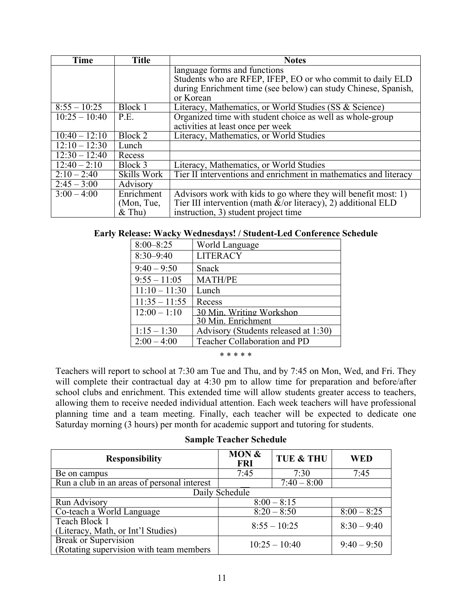| Time            | <b>Title</b> | <b>Notes</b>                                                      |
|-----------------|--------------|-------------------------------------------------------------------|
|                 |              | language forms and functions                                      |
|                 |              | Students who are RFEP, IFEP, EO or who commit to daily ELD        |
|                 |              | during Enrichment time (see below) can study Chinese, Spanish,    |
|                 |              | or Korean                                                         |
| $8:55 - 10:25$  | Block 1      | Literacy, Mathematics, or World Studies (SS & Science)            |
| $10:25 - 10:40$ | P.E.         | Organized time with student choice as well as whole-group         |
|                 |              | activities at least once per week                                 |
| $10:40 - 12:10$ | Block 2      | Literacy, Mathematics, or World Studies                           |
| $12:10 - 12:30$ | Lunch        |                                                                   |
| $12:30 - 12:40$ | Recess       |                                                                   |
| $12:40 - 2:10$  | Block 3      | Literacy, Mathematics, or World Studies                           |
| $2:10 - 2:40$   | Skills Work  | Tier II interventions and enrichment in mathematics and literacy  |
| $2:45 - 3:00$   | Advisory     |                                                                   |
| $3:00 - 4:00$   | Enrichment   | Advisors work with kids to go where they will benefit most: 1)    |
|                 | (Mon, Tue,   | Tier III intervention (math $\&$ /or literacy), 2) additional ELD |
|                 | $&$ Thu)     | instruction, 3) student project time                              |

## **Early Release: Wacky Wednesdays! / Student-Led Conference Schedule**

| $8:00 - 8:25$   | World Language                       |
|-----------------|--------------------------------------|
| $8:30 - 9:40$   | <b>LITERACY</b>                      |
| $9:40 - 9:50$   | Snack                                |
| $9:55 - 11:05$  | <b>MATH/PE</b>                       |
| $11:10 - 11:30$ | Lunch                                |
| $11:35 - 11:55$ | Recess                               |
| $12:00 - 1:10$  | 30 Min. Writing Workshop             |
|                 | 30 Min. Enrichment                   |
| $1:15 - 1:30$   | Advisory (Students released at 1:30) |
| $2:00 - 4:00$   | Teacher Collaboration and PD         |

\* \* \* \* \*

Teachers will report to school at 7:30 am Tue and Thu, and by 7:45 on Mon, Wed, and Fri. They will complete their contractual day at 4:30 pm to allow time for preparation and before/after school clubs and enrichment. This extended time will allow students greater access to teachers, allowing them to receive needed individual attention. Each week teachers will have professional planning time and a team meeting. Finally, each teacher will be expected to dedicate one Saturday morning (3 hours) per month for academic support and tutoring for students.

**Sample Teacher Schedule**

| <b>Responsibility</b>                                                  | <b>MON &amp;</b><br><b>FRI</b> | <b>TUE &amp; THU</b> | WED           |
|------------------------------------------------------------------------|--------------------------------|----------------------|---------------|
| Be on campus                                                           | 7:45                           | 7:30                 | 7:45          |
| Run a club in an areas of personal interest                            |                                | $7:40 - 8:00$        |               |
|                                                                        | Daily Schedule                 |                      |               |
| <b>Run Advisory</b>                                                    |                                | $8:00 - 8:15$        |               |
| Co-teach a World Language                                              |                                | $8:20 - 8:50$        | $8:00 - 8:25$ |
| Teach Block 1<br>(Literacy, Math, or Int'l Studies)                    |                                | $8:55 - 10:25$       | $8:30 - 9:40$ |
| <b>Break or Supervision</b><br>(Rotating supervision with team members |                                | $10:25 - 10:40$      | $9:40 - 9:50$ |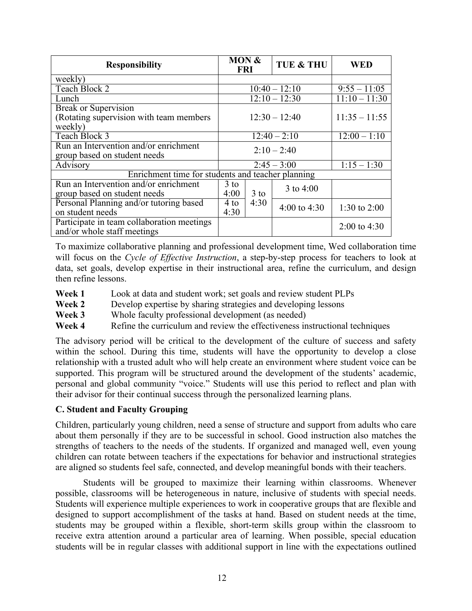| <b>Responsibility</b>                             | <b>MON &amp;</b><br><b>FRI</b> |                | <b>TUE &amp; THU</b> | <b>WED</b>      |
|---------------------------------------------------|--------------------------------|----------------|----------------------|-----------------|
| weekly)                                           |                                |                |                      |                 |
| Teach Block 2                                     |                                |                | $10:40 - 12:10$      | $9:55 - 11:05$  |
| Lunch                                             |                                |                | $12:10 - 12:30$      | $11:10 - 11:30$ |
| <b>Break or Supervision</b>                       |                                |                |                      |                 |
| (Rotating supervision with team members)          |                                |                | $12:30 - 12:40$      | $11:35 - 11:55$ |
| weekly)                                           |                                |                |                      |                 |
| Teach Block 3                                     |                                | $12:40 - 2:10$ | $12:00 - 1:10$       |                 |
| Run an Intervention and/or enrichment             |                                |                | $2:10 - 2:40$        |                 |
| group based on student needs                      |                                |                |                      |                 |
| Advisory                                          |                                |                | $2:45 - 3:00$        | $1:15 - 1:30$   |
| Enrichment time for students and teacher planning |                                |                |                      |                 |
| Run an Intervention and/or enrichment             | $3$ to                         |                | 3 to $4:00$          |                 |
| group based on student needs                      | 4:00                           | $3$ to         |                      |                 |
| Personal Planning and/or tutoring based           | 4:30<br>4 to<br>4:00 to 4:30   |                |                      | 1:30 to $2:00$  |
| on student needs                                  | 4:30                           |                |                      |                 |
| Participate in team collaboration meetings        |                                |                |                      | $2:00$ to 4:30  |
| and/or whole staff meetings                       |                                |                |                      |                 |

To maximize collaborative planning and professional development time, Wed collaboration time will focus on the *Cycle of Effective Instruction*, a step-by-step process for teachers to look at data, set goals, develop expertise in their instructional area, refine the curriculum, and design then refine lessons.

- **Week 1** Look at data and student work; set goals and review student PLPs
- **Week 2** Develop expertise by sharing strategies and developing lessons
- **Week 3** Whole faculty professional development (as needed)
- **Week 4** Refine the curriculum and review the effectiveness instructional techniques

The advisory period will be critical to the development of the culture of success and safety within the school. During this time, students will have the opportunity to develop a close relationship with a trusted adult who will help create an environment where student voice can be supported. This program will be structured around the development of the students' academic, personal and global community "voice." Students will use this period to reflect and plan with their advisor for their continual success through the personalized learning plans.

## **C. Student and Faculty Grouping**

Children, particularly young children, need a sense of structure and support from adults who care about them personally if they are to be successful in school. Good instruction also matches the strengths of teachers to the needs of the students. If organized and managed well, even young children can rotate between teachers if the expectations for behavior and instructional strategies are aligned so students feel safe, connected, and develop meaningful bonds with their teachers.

Students will be grouped to maximize their learning within classrooms. Whenever possible, classrooms will be heterogeneous in nature, inclusive of students with special needs. Students will experience multiple experiences to work in cooperative groups that are flexible and designed to support accomplishment of the tasks at hand. Based on student needs at the time, students may be grouped within a flexible, short-term skills group within the classroom to receive extra attention around a particular area of learning. When possible, special education students will be in regular classes with additional support in line with the expectations outlined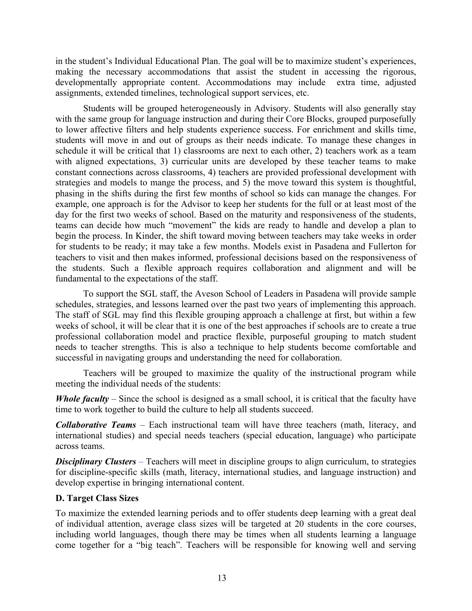in the student's Individual Educational Plan. The goal will be to maximize student's experiences, making the necessary accommodations that assist the student in accessing the rigorous, developmentally appropriate content. Accommodations may include extra time, adjusted assignments, extended timelines, technological support services, etc.

Students will be grouped heterogeneously in Advisory. Students will also generally stay with the same group for language instruction and during their Core Blocks, grouped purposefully to lower affective filters and help students experience success. For enrichment and skills time, students will move in and out of groups as their needs indicate. To manage these changes in schedule it will be critical that 1) classrooms are next to each other, 2) teachers work as a team with aligned expectations, 3) curricular units are developed by these teacher teams to make constant connections across classrooms, 4) teachers are provided professional development with strategies and models to mange the process, and 5) the move toward this system is thoughtful, phasing in the shifts during the first few months of school so kids can manage the changes. For example, one approach is for the Advisor to keep her students for the full or at least most of the day for the first two weeks of school. Based on the maturity and responsiveness of the students, teams can decide how much "movement" the kids are ready to handle and develop a plan to begin the process. In Kinder, the shift toward moving between teachers may take weeks in order for students to be ready; it may take a few months. Models exist in Pasadena and Fullerton for teachers to visit and then makes informed, professional decisions based on the responsiveness of the students. Such a flexible approach requires collaboration and alignment and will be fundamental to the expectations of the staff.

To support the SGL staff, the Aveson School of Leaders in Pasadena will provide sample schedules, strategies, and lessons learned over the past two years of implementing this approach. The staff of SGL may find this flexible grouping approach a challenge at first, but within a few weeks of school, it will be clear that it is one of the best approaches if schools are to create a true professional collaboration model and practice flexible, purposeful grouping to match student needs to teacher strengths. This is also a technique to help students become comfortable and successful in navigating groups and understanding the need for collaboration.

Teachers will be grouped to maximize the quality of the instructional program while meeting the individual needs of the students:

*Whole faculty* – Since the school is designed as a small school, it is critical that the faculty have time to work together to build the culture to help all students succeed.

*Collaborative Teams* – Each instructional team will have three teachers (math, literacy, and international studies) and special needs teachers (special education, language) who participate across teams.

*Disciplinary Clusters* – Teachers will meet in discipline groups to align curriculum, to strategies for discipline-specific skills (math, literacy, international studies, and language instruction) and develop expertise in bringing international content.

## **D. Target Class Sizes**

To maximize the extended learning periods and to offer students deep learning with a great deal of individual attention, average class sizes will be targeted at 20 students in the core courses, including world languages, though there may be times when all students learning a language come together for a "big teach". Teachers will be responsible for knowing well and serving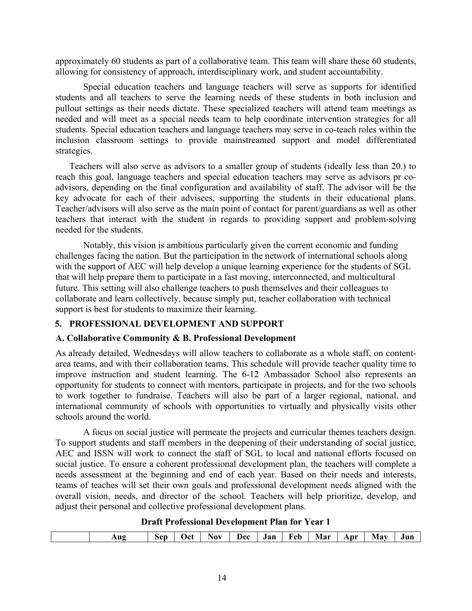approximately 60 students as part of a collaborative team. This team will share these 60 students, allowing for consistency of approach, interdisciplinary work, and student accountability.

Special education teachers and language teachers will serve as supports for identified students and all teachers to serve the learning needs of these students in both inclusion and pullout settings as their needs dictate. These specialized teachers will attend team meetings as needed and will meet as a special needs team to help coordinate intervention strategies for all students. Special education teachers and language teachers may serve in co-teach roles within the inclusion classroom settings to provide mainstreamed support and model differentiated strategies.

Teachers will also serve as advisors to a smaller group of students (ideally less than 20.) to reach this goal, language teachers and special education teachers may serve as advisors pr coadvisors, depending on the final configuration and availability of staff. The advisor will be the key advocate for each of their advisees, supporting the students in their educational plans. Teacher/advisors will also serve as the main point of contact for parent/guardians as well as other teachers that interact with the student in regards to providing support and problem-solving needed for the students.

Notably, this vision is ambitious particularly given the current economic and funding challenges facing the nation. But the participation in the network of international schools along with the support of AEC will help develop a unique learning experience for the students of SGL that will help prepare them to participate in a fast moving, interconnected, and multicultural future. This setting will also challenge teachers to push themselves and their colleagues to collaborate and learn collectively, because simply put, teacher collaboration with technical support is best for students to maximize their learning.

## **5. PROFESSIONAL DEVELOPMENT AND SUPPORT**

## **A. Collaborative Community & B. Professional Development**

As already detailed, Wednesdays will allow teachers to collaborate as a whole staff, on contentarea teams, and with their collaboration teams. This schedule will provide teacher quality time to improve instruction and student learning. The 6-12 Ambassador School also represents an opportunity for students to connect with mentors, participate in projects, and for the two schools to work together to fundraise. Teachers will also be part of a larger regional, national, and international community of schools with opportunities to virtually and physically visits other schools around the world.

A focus on social justice will permeate the projects and curricular themes teachers design. To support students and staff members in the deepening of their understanding of social justice, AEC and ISSN will work to connect the staff of SGL to local and national efforts focused on social justice. To ensure a coherent professional development plan, the teachers will complete a needs assessment at the beginning and end of each year. Based on their needs and interests, teams of teaches will set their own goals and professional development needs aligned with the overall vision, needs, and director of the school. Teachers will help prioritize, develop, and adjust their personal and collective professional development plans.

| Draft Professional Development Plan for Year 1 |  |  |  |
|------------------------------------------------|--|--|--|
|------------------------------------------------|--|--|--|

| May<br><b>Mar</b><br>Feb<br>Nov<br>. Jcf<br>Dec<br>Jan<br>Apr<br>4 11 C<br>S or<br>ιJτ<br>LU.<br>- - - - - |  |  |  |  |  |  |  |  |  |  |  | Jun |
|------------------------------------------------------------------------------------------------------------|--|--|--|--|--|--|--|--|--|--|--|-----|
|------------------------------------------------------------------------------------------------------------|--|--|--|--|--|--|--|--|--|--|--|-----|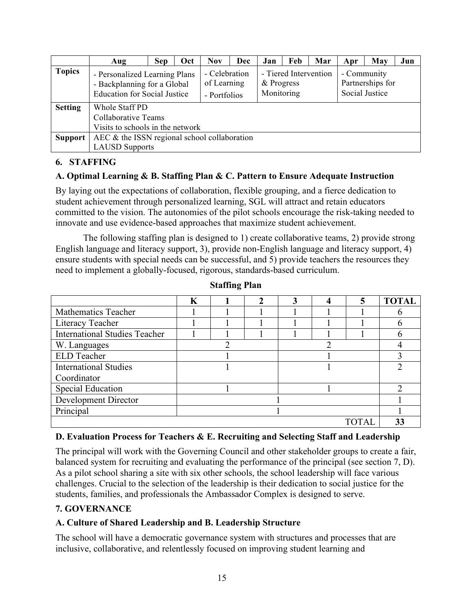|                | Aug                                                                                                 | <b>Sep</b>                                   | Oct                                                                                                    | <b>Nov</b> | <b>Dec</b> | Jan | Feb | Mar | Apr | May | Jun |
|----------------|-----------------------------------------------------------------------------------------------------|----------------------------------------------|--------------------------------------------------------------------------------------------------------|------------|------------|-----|-----|-----|-----|-----|-----|
| <b>Topics</b>  | - Personalized Learning Plans<br>- Backplanning for a Global<br><b>Education for Social Justice</b> | - Celebration<br>of Learning<br>- Portfolios | - Tiered Intervention<br>- Community<br>Partnerships for<br>& Progress<br>Social Justice<br>Monitoring |            |            |     |     |     |     |     |     |
| <b>Setting</b> |                                                                                                     | Whole Staff PD                               |                                                                                                        |            |            |     |     |     |     |     |     |
|                | Collaborative Teams                                                                                 |                                              |                                                                                                        |            |            |     |     |     |     |     |     |
|                | Visits to schools in the network                                                                    |                                              |                                                                                                        |            |            |     |     |     |     |     |     |
| <b>Support</b> | AEC $&$ the ISSN regional school collaboration                                                      |                                              |                                                                                                        |            |            |     |     |     |     |     |     |
|                | <b>LAUSD Supports</b>                                                                               |                                              |                                                                                                        |            |            |     |     |     |     |     |     |

# **6. STAFFING**

# **A. Optimal Learning & B. Staffing Plan & C. Pattern to Ensure Adequate Instruction**

By laying out the expectations of collaboration, flexible grouping, and a fierce dedication to student achievement through personalized learning, SGL will attract and retain educators committed to the vision. The autonomies of the pilot schools encourage the risk-taking needed to innovate and use evidence-based approaches that maximize student achievement.

The following staffing plan is designed to 1) create collaborative teams, 2) provide strong English language and literacy support, 3), provide non-English language and literacy support, 4) ensure students with special needs can be successful, and 5) provide teachers the resources they need to implement a globally-focused, rigorous, standards-based curriculum.

|                                      | K |  |  | 3 |  | 5     | <b>TOTAL</b> |
|--------------------------------------|---|--|--|---|--|-------|--------------|
| <b>Mathematics Teacher</b>           |   |  |  |   |  |       |              |
| Literacy Teacher                     |   |  |  |   |  |       |              |
| <b>International Studies Teacher</b> |   |  |  |   |  |       |              |
| W. Languages                         |   |  |  |   |  |       |              |
| <b>ELD</b> Teacher                   |   |  |  |   |  |       |              |
| <b>International Studies</b>         |   |  |  |   |  |       |              |
| Coordinator                          |   |  |  |   |  |       |              |
| <b>Special Education</b>             |   |  |  |   |  |       |              |
| Development Director                 |   |  |  |   |  |       |              |
| Principal                            |   |  |  |   |  |       |              |
|                                      |   |  |  |   |  | TOTAI | 33           |

**Staffing Plan**

## **D. Evaluation Process for Teachers & E. Recruiting and Selecting Staff and Leadership**

The principal will work with the Governing Council and other stakeholder groups to create a fair, balanced system for recruiting and evaluating the performance of the principal (see section 7, D). As a pilot school sharing a site with six other schools, the school leadership will face various challenges. Crucial to the selection of the leadership is their dedication to social justice for the students, families, and professionals the Ambassador Complex is designed to serve.

## **7. GOVERNANCE**

## **A. Culture of Shared Leadership and B. Leadership Structure**

The school will have a democratic governance system with structures and processes that are inclusive, collaborative, and relentlessly focused on improving student learning and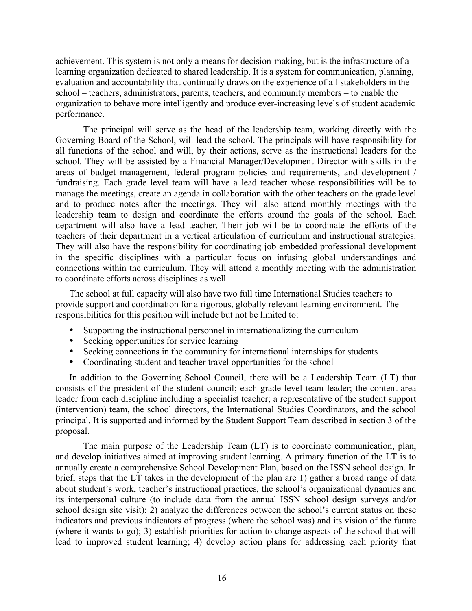achievement. This system is not only a means for decision-making, but is the infrastructure of a learning organization dedicated to shared leadership. It is a system for communication, planning, evaluation and accountability that continually draws on the experience of all stakeholders in the school – teachers, administrators, parents, teachers, and community members – to enable the organization to behave more intelligently and produce ever-increasing levels of student academic performance.

The principal will serve as the head of the leadership team, working directly with the Governing Board of the School, will lead the school. The principals will have responsibility for all functions of the school and will, by their actions, serve as the instructional leaders for the school. They will be assisted by a Financial Manager/Development Director with skills in the areas of budget management, federal program policies and requirements, and development / fundraising. Each grade level team will have a lead teacher whose responsibilities will be to manage the meetings, create an agenda in collaboration with the other teachers on the grade level and to produce notes after the meetings. They will also attend monthly meetings with the leadership team to design and coordinate the efforts around the goals of the school. Each department will also have a lead teacher. Their job will be to coordinate the efforts of the teachers of their department in a vertical articulation of curriculum and instructional strategies. They will also have the responsibility for coordinating job embedded professional development in the specific disciplines with a particular focus on infusing global understandings and connections within the curriculum. They will attend a monthly meeting with the administration to coordinate efforts across disciplines as well.

The school at full capacity will also have two full time International Studies teachers to provide support and coordination for a rigorous, globally relevant learning environment. The responsibilities for this position will include but not be limited to:

- Supporting the instructional personnel in internationalizing the curriculum
- Seeking opportunities for service learning
- Seeking connections in the community for international internships for students
- Coordinating student and teacher travel opportunities for the school

In addition to the Governing School Council, there will be a Leadership Team (LT) that consists of the president of the student council; each grade level team leader; the content area leader from each discipline including a specialist teacher; a representative of the student support (intervention) team, the school directors, the International Studies Coordinators, and the school principal. It is supported and informed by the Student Support Team described in section 3 of the proposal.

The main purpose of the Leadership Team (LT) is to coordinate communication, plan, and develop initiatives aimed at improving student learning. A primary function of the LT is to annually create a comprehensive School Development Plan, based on the ISSN school design. In brief, steps that the LT takes in the development of the plan are 1) gather a broad range of data about student's work, teacher's instructional practices, the school's organizational dynamics and its interpersonal culture (to include data from the annual ISSN school design surveys and/or school design site visit); 2) analyze the differences between the school's current status on these indicators and previous indicators of progress (where the school was) and its vision of the future (where it wants to go); 3) establish priorities for action to change aspects of the school that will lead to improved student learning; 4) develop action plans for addressing each priority that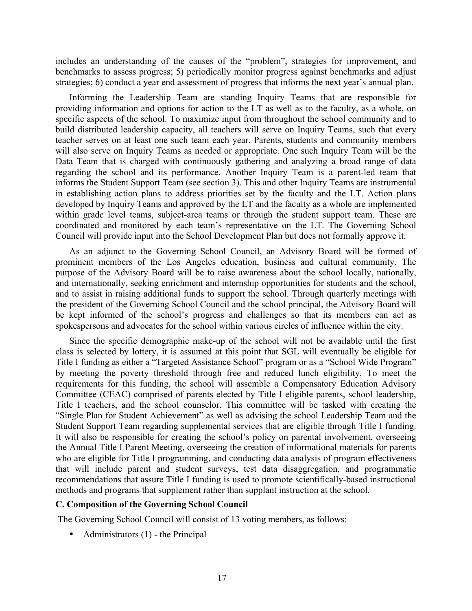includes an understanding of the causes of the "problem", strategies for improvement, and benchmarks to assess progress; 5) periodically monitor progress against benchmarks and adjust strategies; 6) conduct a year end assessment of progress that informs the next year's annual plan.

Informing the Leadership Team are standing Inquiry Teams that are responsible for providing information and options for action to the LT as well as to the faculty, as a whole, on specific aspects of the school. To maximize input from throughout the school community and to build distributed leadership capacity, all teachers will serve on Inquiry Teams, such that every teacher serves on at least one such team each year. Parents, students and community members will also serve on Inquiry Teams as needed or appropriate. One such Inquiry Team will be the Data Team that is charged with continuously gathering and analyzing a broad range of data regarding the school and its performance. Another Inquiry Team is a parent-led team that informs the Student Support Team (see section 3). This and other Inquiry Teams are instrumental in establishing action plans to address priorities set by the faculty and the LT. Action plans developed by Inquiry Teams and approved by the LT and the faculty as a whole are implemented within grade level teams, subject-area teams or through the student support team. These are coordinated and monitored by each team's representative on the LT. The Governing School Council will provide input into the School Development Plan but does not formally approve it.

As an adjunct to the Governing School Council, an Advisory Board will be formed of prominent members of the Los Angeles education, business and cultural community. The purpose of the Advisory Board will be to raise awareness about the school locally, nationally, and internationally, seeking enrichment and internship opportunities for students and the school, and to assist in raising additional funds to support the school. Through quarterly meetings with the president of the Governing School Council and the school principal, the Advisory Board will be kept informed of the school's progress and challenges so that its members can act as spokespersons and advocates for the school within various circles of influence within the city.

Since the specific demographic make-up of the school will not be available until the first class is selected by lottery, it is assumed at this point that SGL will eventually be eligible for Title I funding as either a "Targeted Assistance School" program or as a "School Wide Program" by meeting the poverty threshold through free and reduced lunch eligibility. To meet the requirements for this funding, the school will assemble a Compensatory Education Advisory Committee (CEAC) comprised of parents elected by Title I eligible parents, school leadership, Title I teachers, and the school counselor. This committee will be tasked with creating the "Single Plan for Student Achievement" as well as advising the school Leadership Team and the Student Support Team regarding supplemental services that are eligible through Title I funding. It will also be responsible for creating the school's policy on parental involvement, overseeing the Annual Title I Parent Meeting, overseeing the creation of informational materials for parents who are eligible for Title I programming, and conducting data analysis of program effectiveness that will include parent and student surveys, test data disaggregation, and programmatic recommendations that assure Title I funding is used to promote scientifically-based instructional methods and programs that supplement rather than supplant instruction at the school.

#### **C. Composition of the Governing School Council**

The Governing School Council will consist of 13 voting members, as follows:

• Administrators (1) - the Principal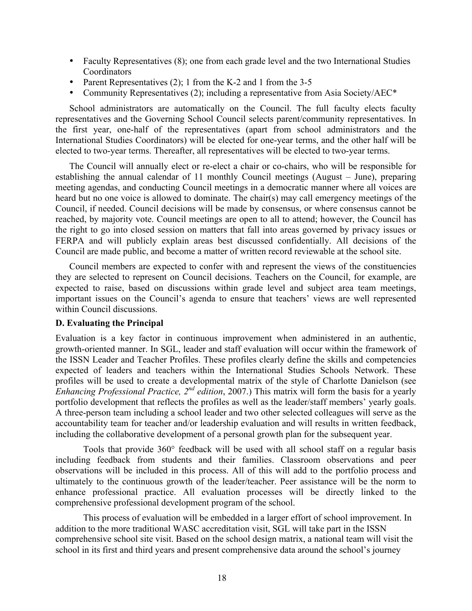- Faculty Representatives (8); one from each grade level and the two International Studies **Coordinators**
- Parent Representatives (2); 1 from the K-2 and 1 from the 3-5
- Community Representatives (2); including a representative from Asia Society/AEC\*

School administrators are automatically on the Council. The full faculty elects faculty representatives and the Governing School Council selects parent/community representatives. In the first year, one-half of the representatives (apart from school administrators and the International Studies Coordinators) will be elected for one-year terms, and the other half will be elected to two-year terms. Thereafter, all representatives will be elected to two-year terms.

The Council will annually elect or re-elect a chair or co-chairs, who will be responsible for establishing the annual calendar of 11 monthly Council meetings (August – June), preparing meeting agendas, and conducting Council meetings in a democratic manner where all voices are heard but no one voice is allowed to dominate. The chair(s) may call emergency meetings of the Council, if needed. Council decisions will be made by consensus, or where consensus cannot be reached, by majority vote. Council meetings are open to all to attend; however, the Council has the right to go into closed session on matters that fall into areas governed by privacy issues or FERPA and will publicly explain areas best discussed confidentially. All decisions of the Council are made public, and become a matter of written record reviewable at the school site.

Council members are expected to confer with and represent the views of the constituencies they are selected to represent on Council decisions. Teachers on the Council, for example, are expected to raise, based on discussions within grade level and subject area team meetings, important issues on the Council's agenda to ensure that teachers' views are well represented within Council discussions.

### **D. Evaluating the Principal**

Evaluation is a key factor in continuous improvement when administered in an authentic, growth-oriented manner. In SGL, leader and staff evaluation will occur within the framework of the ISSN Leader and Teacher Profiles. These profiles clearly define the skills and competencies expected of leaders and teachers within the International Studies Schools Network. These profiles will be used to create a developmental matrix of the style of Charlotte Danielson (see *Enhancing Professional Practice, 2nd edition*, 2007.) This matrix will form the basis for a yearly portfolio development that reflects the profiles as well as the leader/staff members' yearly goals. A three-person team including a school leader and two other selected colleagues will serve as the accountability team for teacher and/or leadership evaluation and will results in written feedback, including the collaborative development of a personal growth plan for the subsequent year.

Tools that provide 360° feedback will be used with all school staff on a regular basis including feedback from students and their families. Classroom observations and peer observations will be included in this process. All of this will add to the portfolio process and ultimately to the continuous growth of the leader/teacher. Peer assistance will be the norm to enhance professional practice. All evaluation processes will be directly linked to the comprehensive professional development program of the school.

This process of evaluation will be embedded in a larger effort of school improvement. In addition to the more traditional WASC accreditation visit, SGL will take part in the ISSN comprehensive school site visit. Based on the school design matrix, a national team will visit the school in its first and third years and present comprehensive data around the school's journey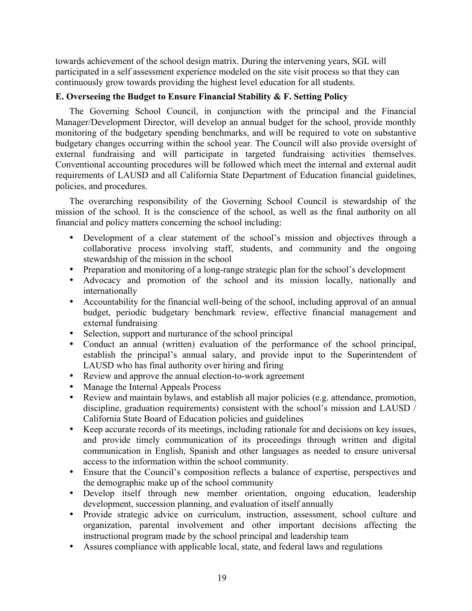towards achievement of the school design matrix. During the intervening years, SGL will participated in a self assessment experience modeled on the site visit process so that they can continuously grow towards providing the highest level education for all students.

## **E. Overseeing the Budget to Ensure Financial Stability & F. Setting Policy**

The Governing School Council, in conjunction with the principal and the Financial Manager/Development Director, will develop an annual budget for the school, provide monthly monitoring of the budgetary spending benchmarks, and will be required to vote on substantive budgetary changes occurring within the school year. The Council will also provide oversight of external fundraising and will participate in targeted fundraising activities themselves. Conventional accounting procedures will be followed which meet the internal and external audit requirements of LAUSD and all California State Department of Education financial guidelines, policies, and procedures.

The overarching responsibility of the Governing School Council is stewardship of the mission of the school. It is the conscience of the school, as well as the final authority on all financial and policy matters concerning the school including:

- Development of a clear statement of the school's mission and objectives through a collaborative process involving staff, students, and community and the ongoing stewardship of the mission in the school
- Preparation and monitoring of a long-range strategic plan for the school's development
- Advocacy and promotion of the school and its mission locally, nationally and internationally
- Accountability for the financial well-being of the school, including approval of an annual budget, periodic budgetary benchmark review, effective financial management and external fundraising
- Selection, support and nurturance of the school principal
- Conduct an annual (written) evaluation of the performance of the school principal, establish the principal's annual salary, and provide input to the Superintendent of LAUSD who has final authority over hiring and firing
- Review and approve the annual election-to-work agreement
- Manage the Internal Appeals Process
- Review and maintain bylaws, and establish all major policies (e.g. attendance, promotion, discipline, graduation requirements) consistent with the school's mission and LAUSD / California State Board of Education policies and guidelines
- Keep accurate records of its meetings, including rationale for and decisions on key issues, and provide timely communication of its proceedings through written and digital communication in English, Spanish and other languages as needed to ensure universal access to the information within the school community.
- Ensure that the Council's composition reflects a balance of expertise, perspectives and the demographic make up of the school community
- Develop itself through new member orientation, ongoing education, leadership development, succession planning, and evaluation of itself annually
- Provide strategic advice on curriculum, instruction, assessment, school culture and organization, parental involvement and other important decisions affecting the instructional program made by the school principal and leadership team
- Assures compliance with applicable local, state, and federal laws and regulations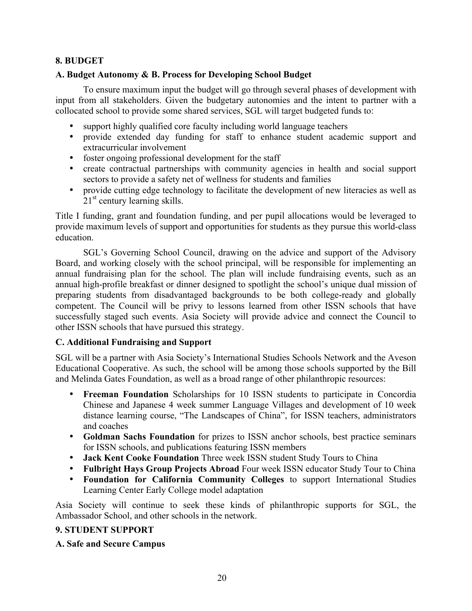## **8. BUDGET**

## **A. Budget Autonomy & B. Process for Developing School Budget**

To ensure maximum input the budget will go through several phases of development with input from all stakeholders. Given the budgetary autonomies and the intent to partner with a collocated school to provide some shared services, SGL will target budgeted funds to:

- support highly qualified core faculty including world language teachers
- provide extended day funding for staff to enhance student academic support and extracurricular involvement
- foster ongoing professional development for the staff
- create contractual partnerships with community agencies in health and social support sectors to provide a safety net of wellness for students and families
- provide cutting edge technology to facilitate the development of new literacies as well as 21<sup>st</sup> century learning skills.

Title I funding, grant and foundation funding, and per pupil allocations would be leveraged to provide maximum levels of support and opportunities for students as they pursue this world-class education.

SGL's Governing School Council, drawing on the advice and support of the Advisory Board, and working closely with the school principal, will be responsible for implementing an annual fundraising plan for the school. The plan will include fundraising events, such as an annual high-profile breakfast or dinner designed to spotlight the school's unique dual mission of preparing students from disadvantaged backgrounds to be both college-ready and globally competent. The Council will be privy to lessons learned from other ISSN schools that have successfully staged such events. Asia Society will provide advice and connect the Council to other ISSN schools that have pursued this strategy.

## **C. Additional Fundraising and Support**

SGL will be a partner with Asia Society's International Studies Schools Network and the Aveson Educational Cooperative. As such, the school will be among those schools supported by the Bill and Melinda Gates Foundation, as well as a broad range of other philanthropic resources:

- **Freeman Foundation** Scholarships for 10 ISSN students to participate in Concordia Chinese and Japanese 4 week summer Language Villages and development of 10 week distance learning course, "The Landscapes of China", for ISSN teachers, administrators and coaches
- **Goldman Sachs Foundation** for prizes to ISSN anchor schools, best practice seminars for ISSN schools, and publications featuring ISSN members
- **Jack Kent Cooke Foundation** Three week ISSN student Study Tours to China
- **Fulbright Hays Group Projects Abroad** Four week ISSN educator Study Tour to China
- **Foundation for California Community Colleges** to support International Studies Learning Center Early College model adaptation

Asia Society will continue to seek these kinds of philanthropic supports for SGL, the Ambassador School, and other schools in the network.

## **9. STUDENT SUPPORT**

## **A. Safe and Secure Campus**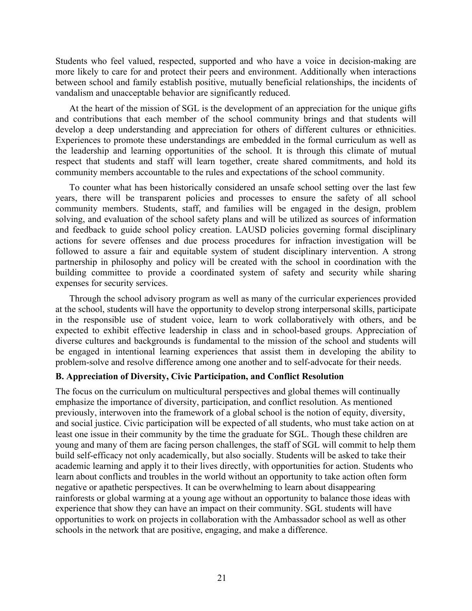Students who feel valued, respected, supported and who have a voice in decision-making are more likely to care for and protect their peers and environment. Additionally when interactions between school and family establish positive, mutually beneficial relationships, the incidents of vandalism and unacceptable behavior are significantly reduced.

At the heart of the mission of SGL is the development of an appreciation for the unique gifts and contributions that each member of the school community brings and that students will develop a deep understanding and appreciation for others of different cultures or ethnicities. Experiences to promote these understandings are embedded in the formal curriculum as well as the leadership and learning opportunities of the school. It is through this climate of mutual respect that students and staff will learn together, create shared commitments, and hold its community members accountable to the rules and expectations of the school community.

To counter what has been historically considered an unsafe school setting over the last few years, there will be transparent policies and processes to ensure the safety of all school community members. Students, staff, and families will be engaged in the design, problem solving, and evaluation of the school safety plans and will be utilized as sources of information and feedback to guide school policy creation. LAUSD policies governing formal disciplinary actions for severe offenses and due process procedures for infraction investigation will be followed to assure a fair and equitable system of student disciplinary intervention. A strong partnership in philosophy and policy will be created with the school in coordination with the building committee to provide a coordinated system of safety and security while sharing expenses for security services.

Through the school advisory program as well as many of the curricular experiences provided at the school, students will have the opportunity to develop strong interpersonal skills, participate in the responsible use of student voice, learn to work collaboratively with others, and be expected to exhibit effective leadership in class and in school-based groups. Appreciation of diverse cultures and backgrounds is fundamental to the mission of the school and students will be engaged in intentional learning experiences that assist them in developing the ability to problem-solve and resolve difference among one another and to self-advocate for their needs.

### **B. Appreciation of Diversity, Civic Participation, and Conflict Resolution**

The focus on the curriculum on multicultural perspectives and global themes will continually emphasize the importance of diversity, participation, and conflict resolution. As mentioned previously, interwoven into the framework of a global school is the notion of equity, diversity, and social justice. Civic participation will be expected of all students, who must take action on at least one issue in their community by the time the graduate for SGL. Though these children are young and many of them are facing person challenges, the staff of SGL will commit to help them build self-efficacy not only academically, but also socially. Students will be asked to take their academic learning and apply it to their lives directly, with opportunities for action. Students who learn about conflicts and troubles in the world without an opportunity to take action often form negative or apathetic perspectives. It can be overwhelming to learn about disappearing rainforests or global warming at a young age without an opportunity to balance those ideas with experience that show they can have an impact on their community. SGL students will have opportunities to work on projects in collaboration with the Ambassador school as well as other schools in the network that are positive, engaging, and make a difference.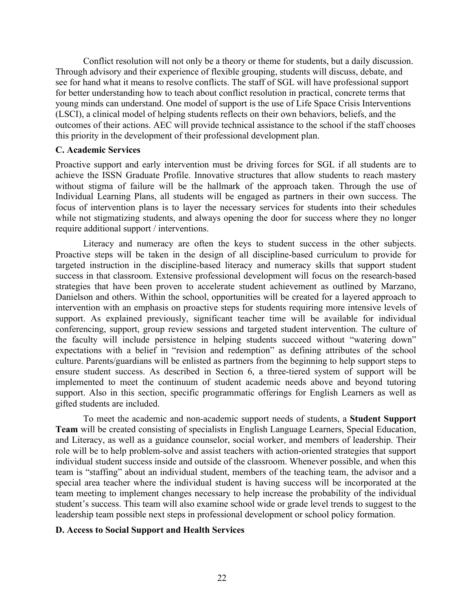Conflict resolution will not only be a theory or theme for students, but a daily discussion. Through advisory and their experience of flexible grouping, students will discuss, debate, and see for hand what it means to resolve conflicts. The staff of SGL will have professional support for better understanding how to teach about conflict resolution in practical, concrete terms that young minds can understand. One model of support is the use of Life Space Crisis Interventions (LSCI), a clinical model of helping students reflects on their own behaviors, beliefs, and the outcomes of their actions. AEC will provide technical assistance to the school if the staff chooses this priority in the development of their professional development plan.

#### **C. Academic Services**

Proactive support and early intervention must be driving forces for SGL if all students are to achieve the ISSN Graduate Profile. Innovative structures that allow students to reach mastery without stigma of failure will be the hallmark of the approach taken. Through the use of Individual Learning Plans, all students will be engaged as partners in their own success. The focus of intervention plans is to layer the necessary services for students into their schedules while not stigmatizing students, and always opening the door for success where they no longer require additional support / interventions.

Literacy and numeracy are often the keys to student success in the other subjects. Proactive steps will be taken in the design of all discipline-based curriculum to provide for targeted instruction in the discipline-based literacy and numeracy skills that support student success in that classroom. Extensive professional development will focus on the research-based strategies that have been proven to accelerate student achievement as outlined by Marzano, Danielson and others. Within the school, opportunities will be created for a layered approach to intervention with an emphasis on proactive steps for students requiring more intensive levels of support. As explained previously, significant teacher time will be available for individual conferencing, support, group review sessions and targeted student intervention. The culture of the faculty will include persistence in helping students succeed without "watering down" expectations with a belief in "revision and redemption" as defining attributes of the school culture. Parents/guardians will be enlisted as partners from the beginning to help support steps to ensure student success. As described in Section 6, a three-tiered system of support will be implemented to meet the continuum of student academic needs above and beyond tutoring support. Also in this section, specific programmatic offerings for English Learners as well as gifted students are included.

To meet the academic and non-academic support needs of students, a **Student Support Team** will be created consisting of specialists in English Language Learners, Special Education, and Literacy, as well as a guidance counselor, social worker, and members of leadership. Their role will be to help problem-solve and assist teachers with action-oriented strategies that support individual student success inside and outside of the classroom. Whenever possible, and when this team is "staffing" about an individual student, members of the teaching team, the advisor and a special area teacher where the individual student is having success will be incorporated at the team meeting to implement changes necessary to help increase the probability of the individual student's success. This team will also examine school wide or grade level trends to suggest to the leadership team possible next steps in professional development or school policy formation.

### **D. Access to Social Support and Health Services**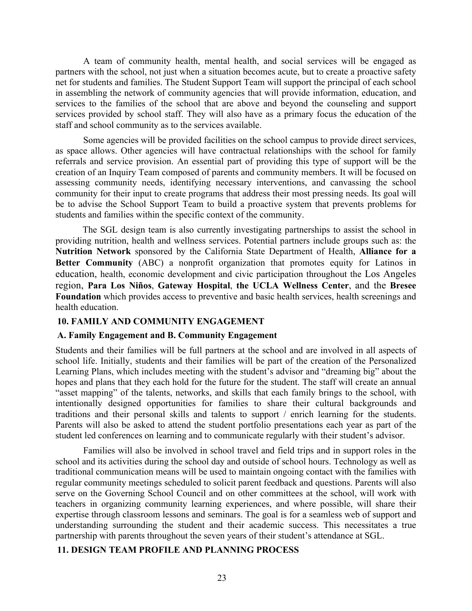A team of community health, mental health, and social services will be engaged as partners with the school, not just when a situation becomes acute, but to create a proactive safety net for students and families. The Student Support Team will support the principal of each school in assembling the network of community agencies that will provide information, education, and services to the families of the school that are above and beyond the counseling and support services provided by school staff. They will also have as a primary focus the education of the staff and school community as to the services available.

Some agencies will be provided facilities on the school campus to provide direct services, as space allows. Other agencies will have contractual relationships with the school for family referrals and service provision. An essential part of providing this type of support will be the creation of an Inquiry Team composed of parents and community members. It will be focused on assessing community needs, identifying necessary interventions, and canvassing the school community for their input to create programs that address their most pressing needs. Its goal will be to advise the School Support Team to build a proactive system that prevents problems for students and families within the specific context of the community.

The SGL design team is also currently investigating partnerships to assist the school in providing nutrition, health and wellness services. Potential partners include groups such as: the **Nutrition Network** sponsored by the California State Department of Health, **Alliance for a Better Community** (ABC) a nonprofit organization that promotes equity for Latinos in education, health, economic development and civic participation throughout the Los Angeles region, **Para Los Niños**, **Gateway Hospital**, **the UCLA Wellness Center**, and the **Bresee Foundation** which provides access to preventive and basic health services, health screenings and health education.

#### **10. FAMILY AND COMMUNITY ENGAGEMENT**

#### **A. Family Engagement and B. Community Engagement**

Students and their families will be full partners at the school and are involved in all aspects of school life. Initially, students and their families will be part of the creation of the Personalized Learning Plans, which includes meeting with the student's advisor and "dreaming big" about the hopes and plans that they each hold for the future for the student. The staff will create an annual "asset mapping" of the talents, networks, and skills that each family brings to the school, with intentionally designed opportunities for families to share their cultural backgrounds and traditions and their personal skills and talents to support / enrich learning for the students. Parents will also be asked to attend the student portfolio presentations each year as part of the student led conferences on learning and to communicate regularly with their student's advisor.

Families will also be involved in school travel and field trips and in support roles in the school and its activities during the school day and outside of school hours. Technology as well as traditional communication means will be used to maintain ongoing contact with the families with regular community meetings scheduled to solicit parent feedback and questions. Parents will also serve on the Governing School Council and on other committees at the school, will work with teachers in organizing community learning experiences, and where possible, will share their expertise through classroom lessons and seminars. The goal is for a seamless web of support and understanding surrounding the student and their academic success. This necessitates a true partnership with parents throughout the seven years of their student's attendance at SGL.

#### **11. DESIGN TEAM PROFILE AND PLANNING PROCESS**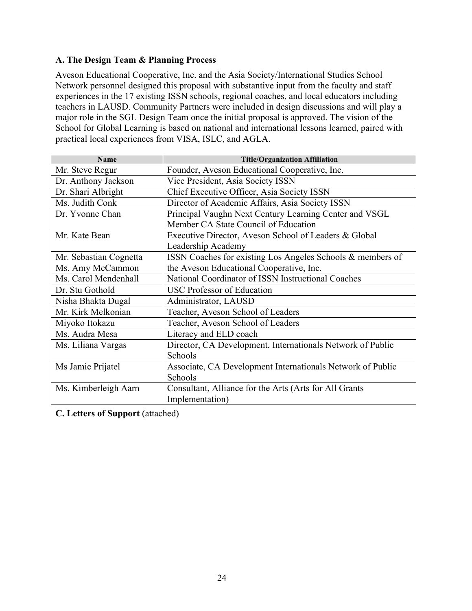# **A. The Design Team & Planning Process**

Aveson Educational Cooperative, Inc. and the Asia Society/International Studies School Network personnel designed this proposal with substantive input from the faculty and staff experiences in the 17 existing ISSN schools, regional coaches, and local educators including teachers in LAUSD. Community Partners were included in design discussions and will play a major role in the SGL Design Team once the initial proposal is approved. The vision of the School for Global Learning is based on national and international lessons learned, paired with practical local experiences from VISA, ISLC, and AGLA.

| <b>Name</b>            | <b>Title/Organization Affiliation</b>                      |
|------------------------|------------------------------------------------------------|
| Mr. Steve Regur        | Founder, Aveson Educational Cooperative, Inc.              |
| Dr. Anthony Jackson    | Vice President, Asia Society ISSN                          |
| Dr. Shari Albright     | Chief Executive Officer, Asia Society ISSN                 |
| Ms. Judith Conk        | Director of Academic Affairs, Asia Society ISSN            |
| Dr. Yvonne Chan        | Principal Vaughn Next Century Learning Center and VSGL     |
|                        | Member CA State Council of Education                       |
| Mr. Kate Bean          | Executive Director, Aveson School of Leaders & Global      |
|                        | Leadership Academy                                         |
| Mr. Sebastian Cognetta | ISSN Coaches for existing Los Angeles Schools & members of |
| Ms. Amy McCammon       | the Aveson Educational Cooperative, Inc.                   |
| Ms. Carol Mendenhall   | National Coordinator of ISSN Instructional Coaches         |
| Dr. Stu Gothold        | <b>USC Professor of Education</b>                          |
| Nisha Bhakta Dugal     | Administrator, LAUSD                                       |
| Mr. Kirk Melkonian     | Teacher, Aveson School of Leaders                          |
| Miyoko Itokazu         | Teacher, Aveson School of Leaders                          |
| Ms. Audra Mesa         | Literacy and ELD coach                                     |
| Ms. Liliana Vargas     | Director, CA Development. Internationals Network of Public |
|                        | Schools                                                    |
| Ms Jamie Prijatel      | Associate, CA Development Internationals Network of Public |
|                        | Schools                                                    |
| Ms. Kimberleigh Aarn   | Consultant, Alliance for the Arts (Arts for All Grants     |
|                        | Implementation)                                            |

**C. Letters of Support** (attached)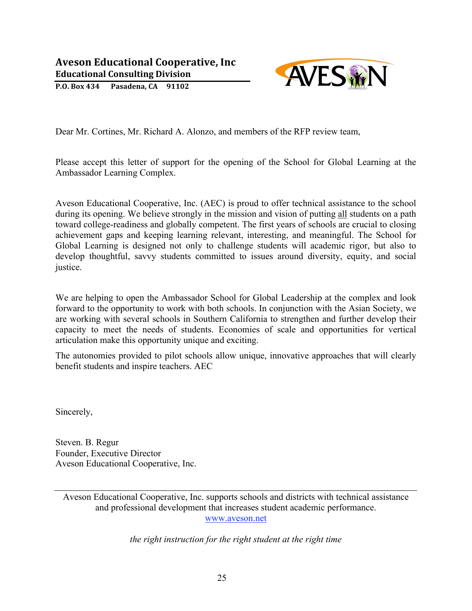**P.O.
Box
434 Pasadena,
CA 91102**



Dear Mr. Cortines, Mr. Richard A. Alonzo, and members of the RFP review team,

Please accept this letter of support for the opening of the School for Global Learning at the Ambassador Learning Complex.

Aveson Educational Cooperative, Inc. (AEC) is proud to offer technical assistance to the school during its opening. We believe strongly in the mission and vision of putting all students on a path toward college-readiness and globally competent. The first years of schools are crucial to closing achievement gaps and keeping learning relevant, interesting, and meaningful. The School for Global Learning is designed not only to challenge students will academic rigor, but also to develop thoughtful, savvy students committed to issues around diversity, equity, and social justice.

We are helping to open the Ambassador School for Global Leadership at the complex and look forward to the opportunity to work with both schools. In conjunction with the Asian Society, we are working with several schools in Southern California to strengthen and further develop their capacity to meet the needs of students. Economies of scale and opportunities for vertical articulation make this opportunity unique and exciting.

The autonomies provided to pilot schools allow unique, innovative approaches that will clearly benefit students and inspire teachers. AEC

Sincerely,

Steven. B. Regur Founder, Executive Director Aveson Educational Cooperative, Inc.

Aveson Educational Cooperative, Inc. supports schools and districts with technical assistance and professional development that increases student academic performance. www.aveson.net

*the right instruction for the right student at the right time*